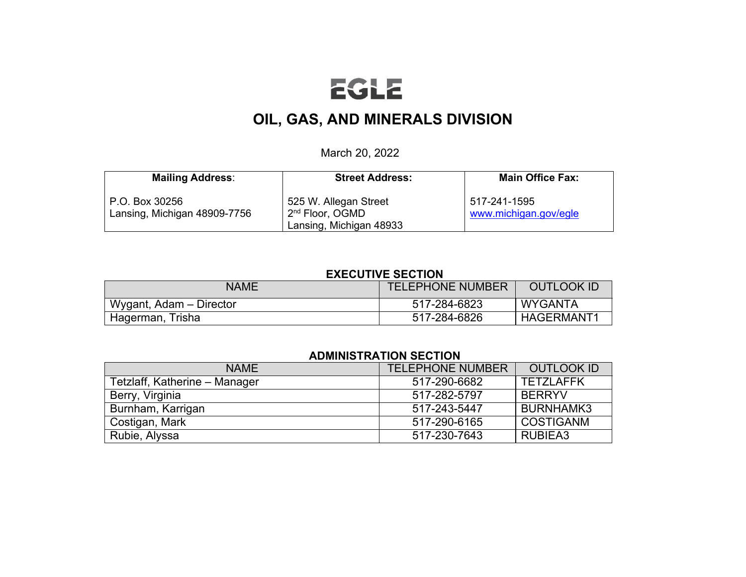# EGLE

# **OIL, GAS, AND MINERALS DIVISION**

March 20, 2022

| <b>Mailing Address:</b>                        | <b>Street Address:</b>                                                          | <b>Main Office Fax:</b>               |
|------------------------------------------------|---------------------------------------------------------------------------------|---------------------------------------|
| P.O. Box 30256<br>Lansing, Michigan 48909-7756 | 525 W. Allegan Street<br>2 <sup>nd</sup> Floor, OGMD<br>Lansing, Michigan 48933 | 517-241-1595<br>www.michigan.gov/egle |

#### **EXECUTIVE SECTION**

| <b>NAME</b>             | <b>TELEPHONE NUMBER</b> | <b>OUTLOOK ID</b> |
|-------------------------|-------------------------|-------------------|
| Wygant, Adam - Director | 517-284-6823            | <b>WYGANTA</b>    |
| Hagerman, Trisha        | 517-284-6826            | <b>HAGERMANT1</b> |

# **ADMINISTRATION SECTION**

| <b>NAME</b>                   | <b>TELEPHONE NUMBER</b> | <b>OUTLOOK ID</b> |
|-------------------------------|-------------------------|-------------------|
| Tetzlaff, Katherine - Manager | 517-290-6682            | <b>TETZLAFFK</b>  |
| Berry, Virginia               | 517-282-5797            | <b>BERRYV</b>     |
| Burnham, Karrigan             | 517-243-5447            | BURNHAMK3         |
| Costigan, Mark                | 517-290-6165            | <b>COSTIGANM</b>  |
| Rubie, Alyssa                 | 517-230-7643            | RUBIEA3           |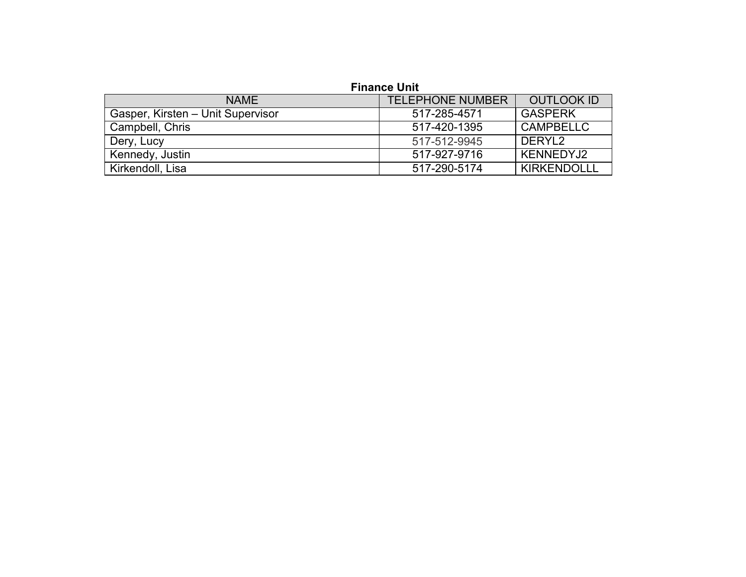# **Finance Unit**

| <b>NAME</b>                       | <b>TELEPHONE NUMBER</b> | <b>OUTLOOK ID</b>  |
|-----------------------------------|-------------------------|--------------------|
| Gasper, Kirsten - Unit Supervisor | 517-285-4571            | <b>GASPERK</b>     |
| Campbell, Chris                   | 517-420-1395            | <b>CAMPBELLC</b>   |
| Dery, Lucy                        | 517-512-9945            | DERYL <sub>2</sub> |
| Kennedy, Justin                   | 517-927-9716            | KENNEDYJ2          |
| Kirkendoll, Lisa                  | 517-290-5174            | <b>KIRKENDOLLL</b> |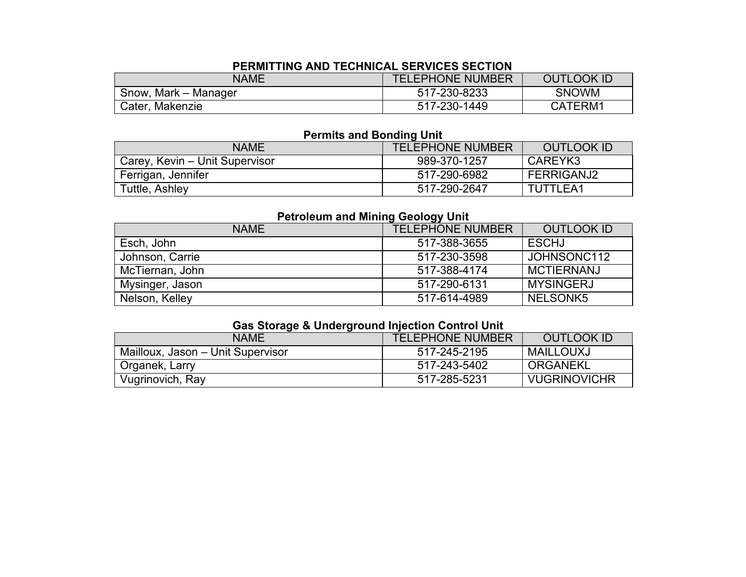# **PERMITTING AND TECHNICAL SERVICES SECTION**

| NAME                 | <b>TELEPHONE NUMBER</b> | <b>OUTLOOK ID</b> |
|----------------------|-------------------------|-------------------|
| Snow, Mark – Manager | 517-230-8233            | <b>SNOWM</b>      |
| Cater, Makenzie      | 517-230-1449            | CATERM1           |

# **Permits and Bonding Unit**

| <b>NAME</b>                    | <b>TELEPHONE NUMBER</b> | <b>OUTLOOK ID</b> |
|--------------------------------|-------------------------|-------------------|
| Carey, Kevin - Unit Supervisor | 989-370-1257            | CAREYK3           |
| Ferrigan, Jennifer             | 517-290-6982            | FERRIGANJ2        |
| Tuttle, Ashley                 | 517-290-2647            | TUTTLEA1          |

# **Petroleum and Mining Geology Unit**

| <b>NAME</b>     | <b>TELEPHONE NUMBER</b> | <b>OUTLOOK ID</b> |
|-----------------|-------------------------|-------------------|
| Esch, John      | 517-388-3655            | <b>ESCHJ</b>      |
| Johnson, Carrie | 517-230-3598            | JOHNSONC112       |
| McTiernan, John | 517-388-4174            | <b>MCTIERNANJ</b> |
| Mysinger, Jason | 517-290-6131            | <b>MYSINGERJ</b>  |
| Nelson, Kelley  | 517-614-4989            | NELSONK5          |

# **Gas Storage & Underground Injection Control Unit**

| <b>NAME</b>                       | <b>TELEPHONE NUMBER</b> | OUTLOOK ID          |
|-----------------------------------|-------------------------|---------------------|
| Mailloux, Jason - Unit Supervisor | 517-245-2195            | MAILLOUXJ           |
| Organek, Larry                    | 517-243-5402            | ORGANEKL            |
| Vugrinovich, Ray                  | 517-285-5231            | <b>VUGRINOVICHR</b> |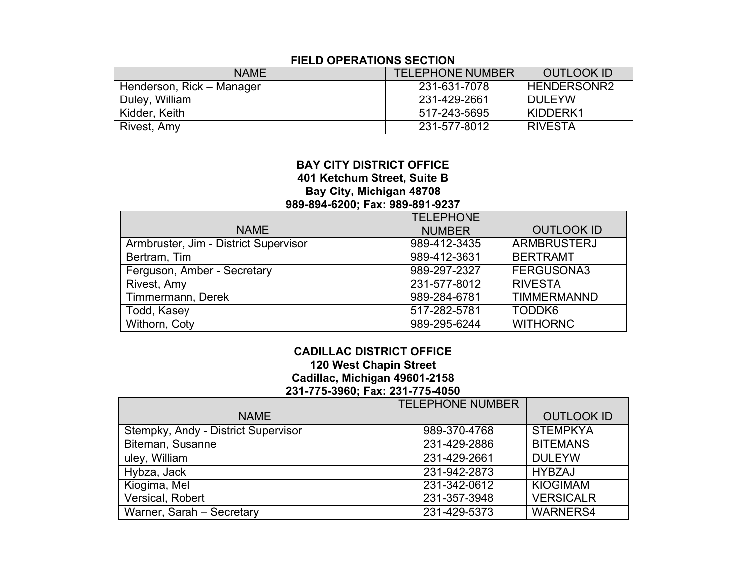# **FIELD OPERATIONS SECTION**

| <b>NAME</b>               | <b>TELEPHONE NUMBER</b> | OUTLOOK ID     |
|---------------------------|-------------------------|----------------|
| Henderson, Rick – Manager | 231-631-7078            | HENDERSONR2    |
| Duley, William            | 231-429-2661            | <b>DULEYW</b>  |
| Kidder, Keith             | 517-243-5695            | KIDDERK1       |
| Rivest, Amy               | 231-577-8012            | <b>RIVESTA</b> |

# **BAY CITY DISTRICT OFFICE 401 Ketchum Street, Suite B Bay City, Michigan 48708 989-894-6200; Fax: 989-891-9237**

|                                       | <b>TELEPHONE</b> |                    |
|---------------------------------------|------------------|--------------------|
| <b>NAME</b>                           | <b>NUMBER</b>    | <b>OUTLOOK ID</b>  |
| Armbruster, Jim - District Supervisor | 989-412-3435     | <b>ARMBRUSTERJ</b> |
| Bertram, Tim                          | 989-412-3631     | <b>BERTRAMT</b>    |
| Ferguson, Amber - Secretary           | 989-297-2327     | FERGUSONA3         |
| Rivest, Amy                           | 231-577-8012     | <b>RIVESTA</b>     |
| Timmermann, Derek                     | 989-284-6781     | <b>TIMMERMANND</b> |
| Todd, Kasey                           | 517-282-5781     | TODDK <sub>6</sub> |
| Withorn, Coty                         | 989-295-6244     | <b>WITHORNC</b>    |

# **CADILLAC DISTRICT OFFICE 120 West Chapin Street Cadillac, Michigan 49601-2158 231-775-3960; Fax: 231-775-4050**

|                                     | <b>TELEPHONE NUMBER</b> |                   |
|-------------------------------------|-------------------------|-------------------|
| <b>NAME</b>                         |                         | <b>OUTLOOK ID</b> |
| Stempky, Andy - District Supervisor | 989-370-4768            | <b>STEMPKYA</b>   |
| Biteman, Susanne                    | 231-429-2886            | <b>BITEMANS</b>   |
| uley, William                       | 231-429-2661            | <b>DULEYW</b>     |
| Hybza, Jack                         | 231-942-2873            | <b>HYBZAJ</b>     |
| Kiogima, Mel                        | 231-342-0612            | <b>KIOGIMAM</b>   |
| Versical, Robert                    | 231-357-3948            | <b>VERSICALR</b>  |
| Warner, Sarah - Secretary           | 231-429-5373            | <b>WARNERS4</b>   |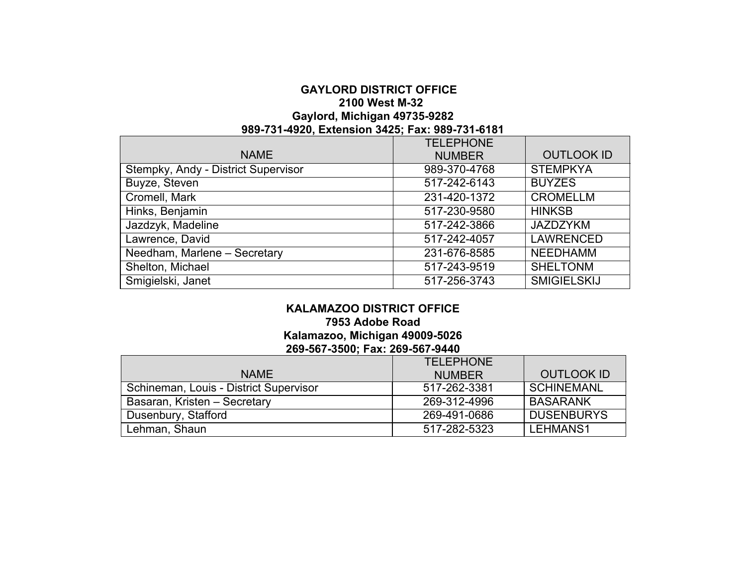# **GAYLORD DISTRICT OFFICE 2100 West M-32 Gaylord, Michigan 49735-9282 989-731-4920, Extension 3425; Fax: 989-731-6181**

|                                     | <b>TELEPHONE</b> |                    |
|-------------------------------------|------------------|--------------------|
| <b>NAME</b>                         | <b>NUMBER</b>    | <b>OUTLOOK ID</b>  |
| Stempky, Andy - District Supervisor | 989-370-4768     | <b>STEMPKYA</b>    |
| <b>Buyze, Steven</b>                | 517-242-6143     | <b>BUYZES</b>      |
| Cromell, Mark                       | 231-420-1372     | <b>CROMELLM</b>    |
| Hinks, Benjamin                     | 517-230-9580     | <b>HINKSB</b>      |
| Jazdzyk, Madeline                   | 517-242-3866     | <b>JAZDZYKM</b>    |
| Lawrence, David                     | 517-242-4057     | <b>LAWRENCED</b>   |
| Needham, Marlene - Secretary        | 231-676-8585     | <b>NEEDHAMM</b>    |
| Shelton, Michael                    | 517-243-9519     | <b>SHELTONM</b>    |
| Smigielski, Janet                   | 517-256-3743     | <b>SMIGIELSKIJ</b> |

#### **KALAMAZOO DISTRICT OFFICE 7953 Adobe Road Kalamazoo, Michigan 49009-5026 269-567-3500; Fax: 269-567-9440**

|                                        | <b>TELEPHONE</b> |                   |
|----------------------------------------|------------------|-------------------|
| <b>NAME</b>                            | <b>NUMBER</b>    | <b>OUTLOOK ID</b> |
| Schineman, Louis - District Supervisor | 517-262-3381     | <b>SCHINEMANL</b> |
| Basaran, Kristen - Secretary           | 269-312-4996     | <b>BASARANK</b>   |
| Dusenbury, Stafford                    | 269-491-0686     | <b>DUSENBURYS</b> |
| Lehman, Shaun                          | 517-282-5323     | <b>LEHMANS1</b>   |